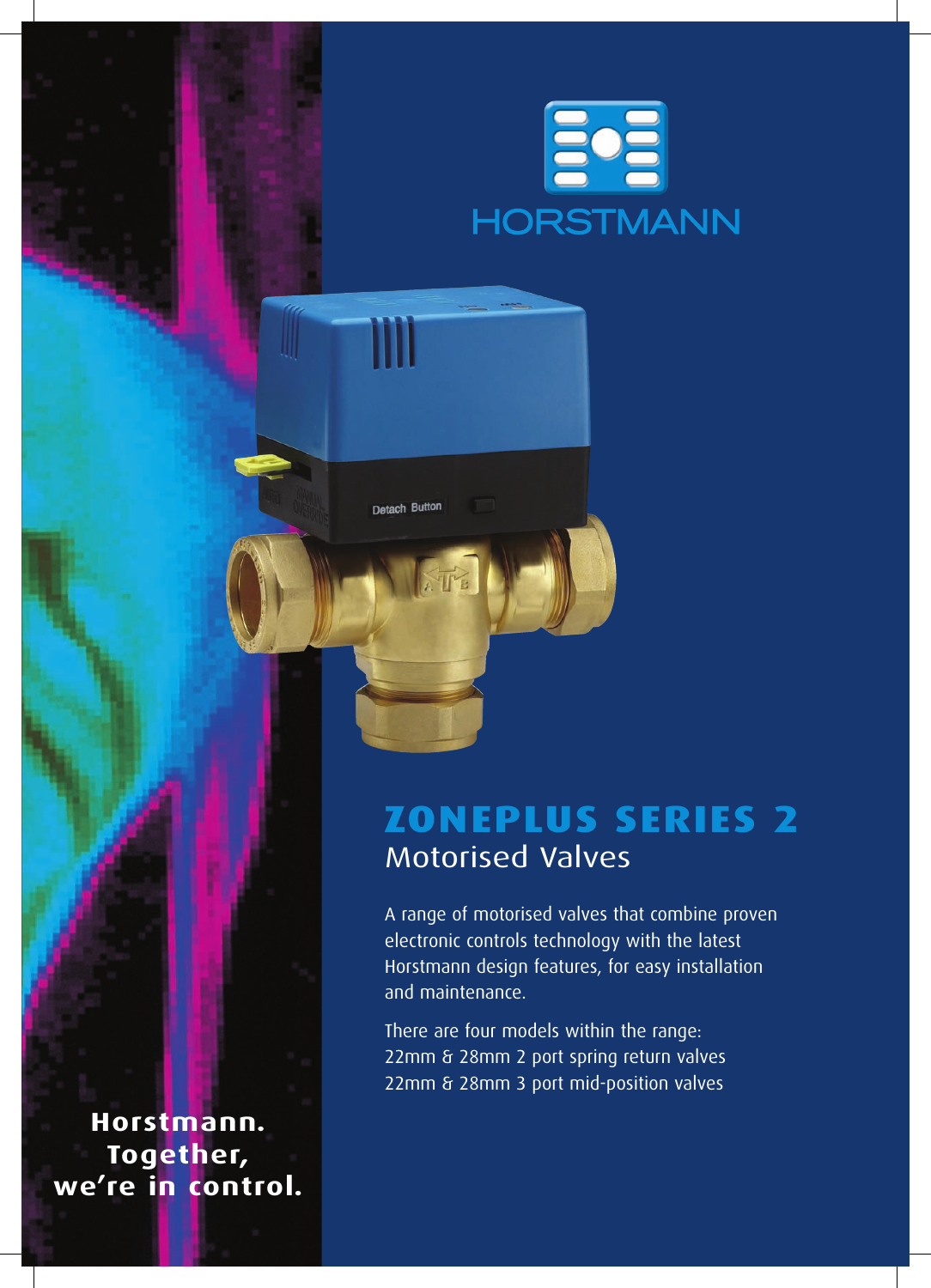

# **zonePlus SERIES 2** Motorised Valves

Detach Button

A range of motorised valves that combine proven electronic controls technology with the latest Horstmann design features, for easy installation and maintenance.

There are four models within the range: 22mm & 28mm 2 port spring return valves 22mm & 28mm 3 port mid-position valves

**Horstmann. Together, we're in control.**